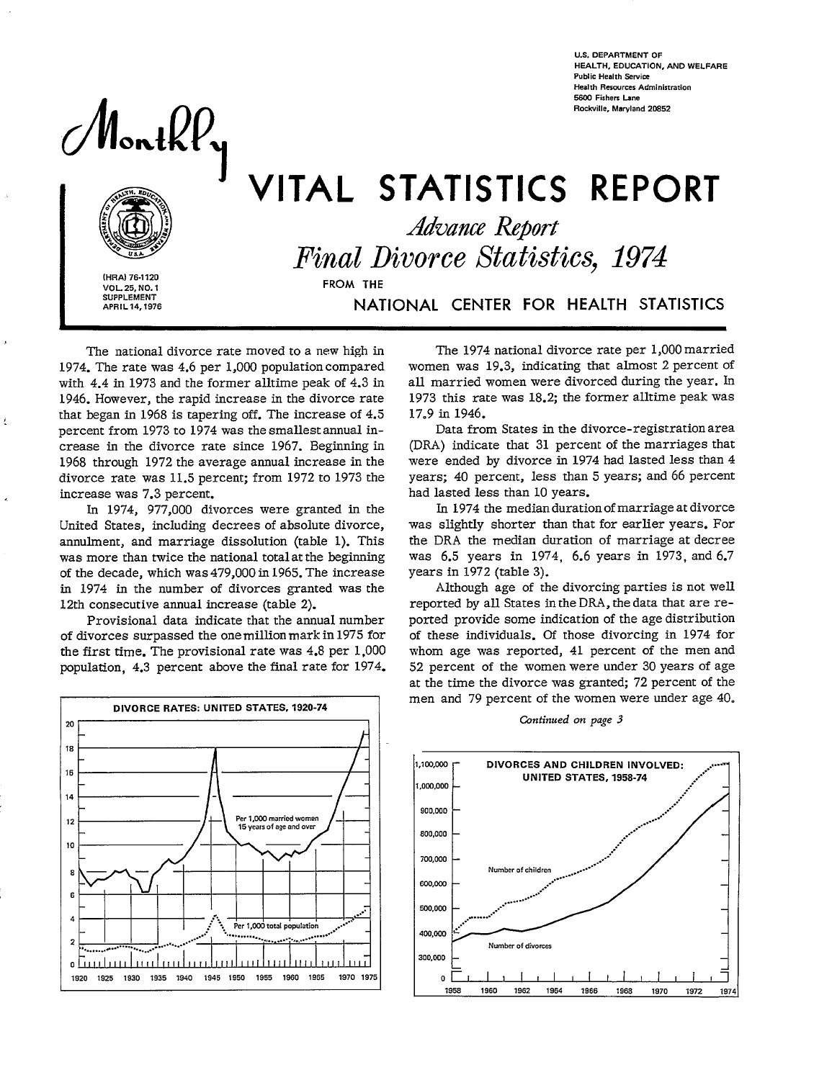**U.S. DEPARTMENT OF HEALTH, EOUCATION, ANO WELFARE Public Health Service Health Resources Administration**<br>5600 Fishers Lane **Public Health Service Service Service Service Service Service Service Service Service Service Services A**<br>Health Resources A<br>5600 Fishers Lane **Rockville, Maryland 2CS52** 

MontkP,



**(HRA) 76-1120 VOL. 25, NO. 1 SUPPLEMENT** 

f

 $\mathbf{A}$ 

j.

VITAL STATISTICS REPORT<br>Advance Report  $Final Divorce Statistics, 1974$ **APRIL 14,1976** NATiONAL CENTER FOR HEALTH STATISTICS

The national divorce rate moved to a new high in 1974. The rate was 4.6 per 1,000 population compared with 4.4 in 1973 and the former alltime peak of 4.3 in 1946. However, the rapid increase in the divorce rate that began in 1968 is tapering off. The increase of 4.5 percent from 1973 to 1974 was the smallest annual increase in the divorce rate since 1967. Beginning in 1968 through 1972 the average amual increase in the divorce rate was 11.5 percent; from 1972 to 1973 the increase was 7.3 percent.

In 1974, 977,000 divorces were granted in the United States, including decrees of absolute divorce, annulment, and marriage dissolution (table 1). This was more than twice the national total at the beginning of the decade, which was 479,000 in 1965. The increase in 1974 in the number of divorces granted was the 12th consecutive amual increase (table 2).

Provisional data indicate that the amual number of divorces surpassed the one million mark in 1975 for the first time. The provisional rate was 4.8 per 1,000 population, 4.3 percent above the final rate for 1974.



The 1974 national divorce rate per 1,000 married women was 19.3, indicating that almost 2 percent of all married women were divorced during the year. In 1973 this rate was 18.2; the former alltime peak was 17.9 in 1946.

Data from States in the divorce-registration area (DRA) indicate that 31 percent of the marriages that were ended by divorce in 1974 had lasted less than 4 years; 40 percent, less than 5 years; and 66 percent had lasted less than 10 years.

In 1974 the median duration of marriage at divorce was slightly shorter than that for earlier years. For the DRA the median duration of marriage at decree was 6.5 years in 1974, 6.6 years in 1973, and 6.7 years in 1972 (table 3).

Although age of the divorcing parties is not well reported by all States in the DRA, the data that are reported provide some indication of the age distribution of these individuals. Of those divorcing in 1974 for whom age was reported, 41 percent of the men and 52 percent of the women were under 30 years of age at the time the divorce was granted; 72 percent of the men and 79 percent of the women were under age 40.



*Cbntinued on page 3*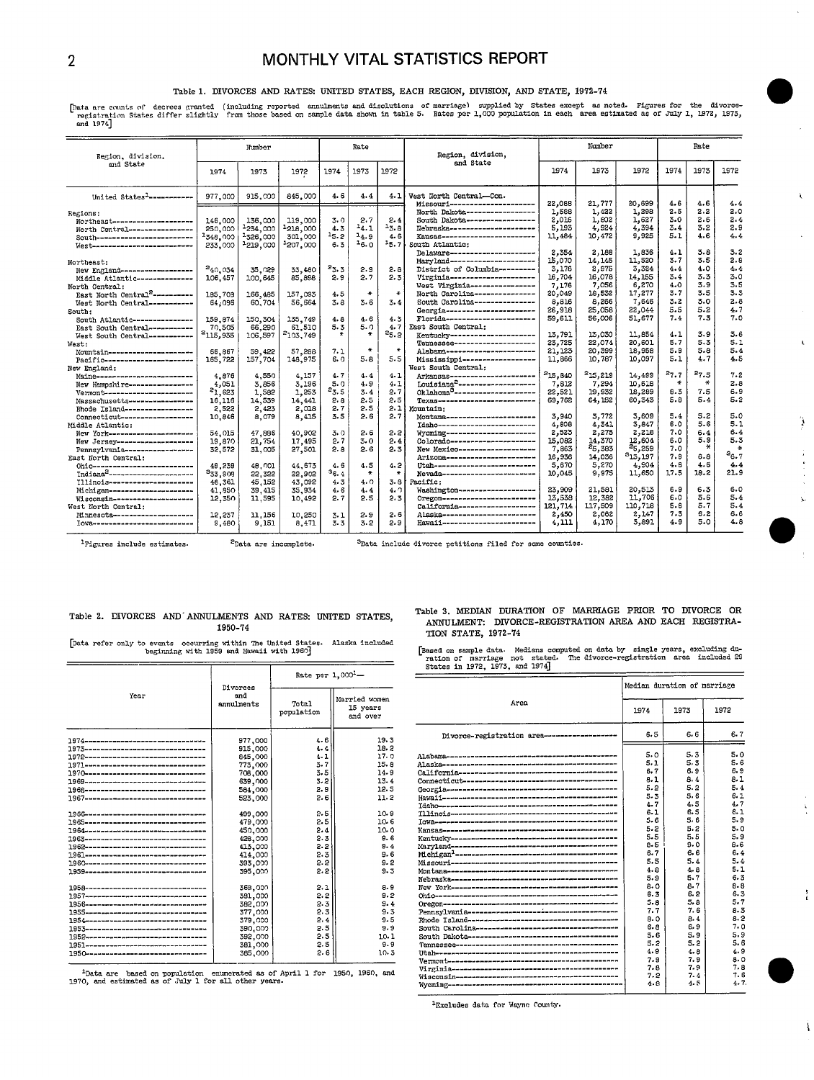# 2 MONTHLY VITAL STATISTICS REPORT

## Table 1. DIVORCES AND RATES: UNITED STATES, EACH REGION, DIVISION, AND STATE, 1972-74

.<br>Tenistration States differ slightly from those based on sample data shown in table 5. Rates of the states except as noted. Figures for the divorce-<br>Tenistration States differ slightly from those based on sample data show

| Region, division.                            | Number             |                     | Rate                |           |           | Region, division, | Number                                                           |         |                 | Rate            |            |            |            |  |
|----------------------------------------------|--------------------|---------------------|---------------------|-----------|-----------|-------------------|------------------------------------------------------------------|---------|-----------------|-----------------|------------|------------|------------|--|
| and State                                    | 1974               | 1973                | 1972                | 1974      | 1973      | 1972              | and State                                                        | 1974    | 1973            | 1972            | 1974       | 1973       | 1972       |  |
| United States <sup>1</sup> ------------      | 977,000            | 915,000             | 845,000             | 4.6       | 4.4       | 4.1               | West North Central-Con.                                          | 22,088  |                 |                 | 4.6        | 4.6        |            |  |
|                                              |                    |                     |                     |           |           |                   | Missouri----------------------<br>North Dakota------------------ | 1,588   | 21,777<br>1,422 | 20,699<br>1,298 | 2.5        | 2.2        | 4.4<br>2.0 |  |
| Regions:                                     |                    |                     |                     | 3.0       | 2.7       | 2.4               | South Dakota-----------------                                    | 2.016   | 1,802           | 1,627           | 3.0        | 2.6        | 2.4        |  |
| Northeast---------------------               | 146,000<br>250,000 | 136,000<br>-234,000 | 119,000<br>1218,000 | 4.3       | $^{14.1}$ | 3.8               | Nebraska----------------------                                   | 5,193   | 4,924           | 4,394           | 3.4        | 3.2        | 2.9        |  |
| North Central----------------                |                    | 1326,000            |                     | $^{15.2}$ | $-4.9$    | 4.6               | Kansas-----------------------                                    | 11,484  | 10,472          | 9,925           | 5.1        | 4.6        | 4.4        |  |
| South-------------------------               | -348,000           |                     | 301,000             | 6.3       | 16.0      | $-5.71$           | South Atlantic:                                                  |         |                 |                 |            |            |            |  |
| West---------------------------              | 233,000            | 2219,000            | 1207,000            |           |           |                   | Delaware----------------------                                   | 2,354   | 2.188           | 1,836           | 4.1        | 3.8        | 3.2        |  |
|                                              |                    |                     |                     |           |           |                   | Maryland----------------------                                   | 15,070  | 14, 145         | 11,520          | 3.7        | 3.5        | 2.8        |  |
| Northeast:                                   |                    |                     |                     |           |           |                   |                                                                  |         | 2,975           |                 | 4.4        | 4.0        | 4.4        |  |
| New England-------------------               | 240.034            | 35,029              | 33,480              | 23.3      | 2.9       | 2.8               | District of Columbia --------                                    | 3.176   |                 | 3.324           | 3.4        | 3.3        | 3.0        |  |
| Middle Atlantic---------------               | 106,457            | 100,645             | 85,898              | 2.9       | 2.7       | 2.3               | Virginia-----------------------                                  | 16,704  | 16,078          | 14,155          |            |            | 3.5        |  |
| North Central:                               |                    |                     |                     |           |           |                   | West Virginia----------------                                    | 7,176   | 7,056           | 6,270           | 4.0        | 3.9<br>3.5 | 3.3        |  |
| East North Central <sup>2</sup> -----------  | 185,708            | 166,485             | 157,093             | 4.5       | ۰         | $\star$           | North Carolina---------------                                    | 20,049  | 18,532          | 17,277          | 3.7        |            |            |  |
| West North Central-----------                | 64.096             | 60.704              | 56,664              | 3.8       | 3.6       | 3.4               | South Carolina---------------                                    | 8.816   | 8,266           | 7,646           | 3.2        | 3.0        | 2.8        |  |
| South:                                       |                    |                     |                     |           |           |                   | Georgia-----------------------                                   | 26,918  | 25,058          | 22,044          | 5.5        | 5.2        | 4.7        |  |
| South Atlantic---------------                | 159.874            | 150,304             | 135.749             | 4.8       | 4.6       | 4.3               | Florida---------------------                                     | 59,611  | 56,006          | 51,677          | 7.4        | 7.3        | 7.0        |  |
| East South Central -----------               | 70.505             | 66,290              | 61,510              | 5.3       | 5.0       | 4.7               | East South Central:                                              |         |                 |                 |            |            |            |  |
| West South Central-----------                | 2115,935           | 106,597             | 2103,749            |           | $\ast$    | $z_{5,2}$         | Kentucky-----------------------                                  | 13,791  | 13,030          | 11,854          | 4.1        | 3.9        | 3.6        |  |
| West:                                        |                    |                     |                     |           |           |                   | Tennessee---------------------                                   | 23,725  | 22,074          | 20,601          | 5.7        | 5.3        | 5.1        |  |
| Mountain---------------------                | 66,867             | 59.422              | 57,288              | 7.1       | *         | $\bullet$         | Alabama -----------------------                                  | 21,123  | 20,399          | 18,958          | 5.9        | 5.8        | 5.4        |  |
| Pacific-----------------------               | 165,722            | 157,704             | 148,975             | 6.0       | 5.8       | 5.5               | Mississippi ------------------                                   | 11,866  | 10,787          | 10,097          | 5.1        | 4.7        | 4.5        |  |
| New England:                                 |                    |                     |                     |           |           |                   | West South Central:                                              |         |                 |                 |            |            |            |  |
| Maine------------------------                | 4.876              | 4.550               | 4,157               | 4.7       | 4.4       | 4.1               | Arkansas---------------------                                    | 215,840 | 215,219         | 14,499          | 27.7       | 27.5       | 7.2        |  |
| New Hampshire-----------------               | 4,051              | 3.856               | 3,196               | 5.0       | 4.9       | 4.1               | $I$ ouisiana <sup>2</sup> ---------------------                  | 7.812   | 7,294           | 10,618          | ∗          | 关          | 2.8        |  |
| Vermont-----------------------               | 21.623             | 1,582               | 1,253               | $^{2}3.5$ | 3.4       | 2.7               | 0klahoma <sup>3</sup> ----------------------                     | 22,521  | 19,932          | 18,289          | B.3        | 7.5        | 6.9        |  |
| Massachusetts------------------              | 16.116             | 14,539              | 14.441              | 2.8       | 2.5       | 2.5               | <b>Texas--------------------------</b>                           | 69,762  | 64,152          | 60,343          | 5.8        | 5.4        | 5.2        |  |
| Rhode Island-----------------                | 2,522              | 2,423               | 2,018               | 2.7       | 2.5       | 2.1               | Mountain:                                                        |         |                 |                 |            |            |            |  |
| Connecticut-------------------               | 10,846             | 8.079               | 8,415               | 3.5       | 2.6       | 2.7               | Montana----------------------                                    | 3,940   | 3,772           | 3,609           | 5.4        | 5.2        | 5.0        |  |
| Middle Atlantic:                             |                    |                     |                     |           |           |                   | Idaho--------------------------                                  | 4,808   | 4.341           | 3,847           | 6.0        | $5 - 6$    | 5.1        |  |
| New York-----------------------              | 54,015             | 47,886              | 40.902              | 3.0       | 2.6       | 2.2               | Wyoming------------------------                                  | 2,523   | 2,275           | 2,218           | 7.0        | 6.4        | 6.4        |  |
| New Jersey--------------------               | 19,870             | 21,754              | 17,495              | 2.7       | $3 - 0$   | 2.4               | Colorado----------------------                                   | 15,082  | 14,370          | 12,604          | 6.0        | 5.9        | 5.3        |  |
| Pennsylvania------------------               | 32,572             | 31,005              | 27,501              | 2.8       | 2.6       | 2.3               | New Mexico--------------------                                   | 7.863   | 25,383          | 25.259          | 7.0        | $\star$    |            |  |
| East North Central:                          |                    |                     |                     |           |           |                   | Arizona-----------------------                                   | 16,936  | 14,036          | 313,197         | 7.9        | $6 - 8$    | $a_{6.7}$  |  |
| Ohio--------------------------               | 49,239             | 48.001              | 44,673              | 4.6       | 4.5       | 4.2               | Utah--------------------------                                   | 5.670   | 5.270           | 4.904           | 4.8        | 4.6        | 4.4        |  |
| Tndiana <sup>2</sup> ----------------------- | 333.908            | 22.322              | 22,902              | 36.4      | $\ast$    |                   | Nevada------------------------                                   | 10,045  | 9,975           | 11,650          | 17.5       | 10.2       | 21.9       |  |
| Tllinois-----------------------              | 48,361             | 45.152              | 43,092              | 4.3       | 4.0       | 3.8               | Pacific:                                                         |         |                 |                 |            |            |            |  |
| Michigan----------------------               | 41,850             | 39.415              | 35.934              | 4.6       | 4.4       | 4.0               | Washington-------------------                                    | 23,909  | 21,581          | 20.513          | 6.9        | 6.3        | 6.0        |  |
|                                              |                    |                     |                     | 2.7       | 2.5       | 2.3               | Отедов------------------------                                   | 13,538  | 12,382          | 11,706          | 6.0        | 5.6        | 5.4        |  |
| Wisconsin---------------------               | 12,350             | 11.595              | 10,492              |           |           |                   | California-------------------                                    | 121,714 |                 |                 | 5.8        | 5.7        | 5.4        |  |
| West North Central:                          |                    |                     |                     |           |           |                   |                                                                  |         | 117,509         | 110,718         |            | 6.2        | 6.6        |  |
| Minnesota --------------------               | 12.237             | 11.156              | 10,250              | 3.1       | 2.9       | 2.6               | Alaska------------------------                                   | 2,450   | 2,062           | 2.147           | 7.3<br>4.9 | 5.0        |            |  |
| <b>Tova---------------------------</b>       | 9,480              | 9,151               | 8,471               | 3.3       | 3.2       | 2.9               | Hawaii------------------------                                   | 4,111   | 4,170           | 3,891           |            |            | 4.8        |  |

lFigures include estimates.  $2$  Pate are incomplete.  $3$ Data include divorce petitions filed for some counties.

[Data refer only to events occurring within The United States. Alaska included

|                                        | Divorces          | Rate per $1,000^2$ - | Stat                                  |                     |
|----------------------------------------|-------------------|----------------------|---------------------------------------|---------------------|
| Year                                   | and<br>annulments | Total<br>population  | Married women<br>15 years<br>and over |                     |
| 1974 <del></del>                       | 977,000           | 4.6                  | 19.3                                  |                     |
| 1973---------------------------------  | 915,000           | 4.4                  | 18.2                                  |                     |
| 1972                                   | 845,000           | 4.1                  | 17.0                                  | Alabam              |
| 1971---------------------------------  | 773,000           | 3.7                  | 15.8                                  | Alaska              |
| 1970-------------------------------    | 708,000           | 3.5                  | 14.9                                  | Califo              |
| 1969---------------------------------  | 639,000           | 3.2                  | 13.4                                  | Connec <sup>®</sup> |
| 1968--------------------------------   | 584,000           | 2.9                  | 12.5                                  | Georgi              |
| 1967--------------------------------   | 523,000           | 2.6                  | 11.2                                  | Hawaii.<br>Tdaho-   |
| 1966---------------------------------  | 499,000           | 2.5                  | 10.9                                  | Tllino              |
| 1965--------------------------------   | 479,000           | 2.5                  | 10.6                                  | Tova--              |
| 1964---------------------------------- | 450,000           | 2.4                  | $10-0$                                | Kansas              |
| 1963---------------------------------  | 428,000           | 2.3                  | 9.6                                   | Kentuc              |
| 1962--------------------------------   | 413,000           | 2.2                  | 9.4                                   | Maryla              |
| 1961---------------------------------  | 414.000           | 2.3                  | 9.6                                   | Michig              |
| 1960--------------------------------   | 393,000           | 2.2                  | 9.2                                   | Misson              |
| 1959--------------------------------   | 395,000           | 2.2                  | 9.3                                   | Montan<br>Nebras    |
| 1958---------------------------------- | 368,000           | 2.1                  | 8.9                                   | New Yo              |
| 1957---------------------------------  | 381,000           | 2.2                  | 9.2                                   | $Ohio--$            |
| 1956---------------------------------  | 382.000           | 2.3                  | 9.4                                   | Oregon              |
| 1955---------------------------------- | 377,000           | 2.3                  | 9.3                                   | Pennsy              |
| 1954--------------------------------   | 379,000           | 2.4                  | 9.5                                   | Rhode               |
| 1953---------------------------------  | 390,000           | 2.5                  | 9.9                                   | South               |
| 1952---------------------------------- | 392,000           | 2.5                  | 10.1                                  | South               |
| 1951--------------------------------   | 381,000           | 2.5                  | 9.9                                   | Tennes              |
| 1950---------------------------------  | 385,000           | 2.6                  | 10.3                                  | Utah--<br>Vermon    |
|                                        |                   |                      |                                       |                     |

## Table 2. DIVORCES AND ANNULMENTS AND RATES: UNITED STATES,<br>
1950-74 AND EACH REGISTRA-<br>
TON SEARE REGISTRATION AREA AND EACH REGISTRA-TION STATE, 1972-74

 $\bullet$ 

L

ţ

beginning with 1959 and Hawaii with 1960] [Based on sample data. Medians computed on data by single years, excluding duration of marriage not stated. The divorce-registration area included 29 states in 1972, 1973, and 1974

|                                                                                        | Rate per $1,0001$ -<br>Divorces |                     |                                       |                                                   | Median duration of marriage |      |         |  |
|----------------------------------------------------------------------------------------|---------------------------------|---------------------|---------------------------------------|---------------------------------------------------|-----------------------------|------|---------|--|
| Year                                                                                   | and<br>annulments               | Total<br>population | Married women<br>15 years<br>and over | Area                                              | 1974                        | 1973 | 1972    |  |
|                                                                                        | 977,000                         | 4.6                 | 19.3                                  | Divorce-registration area-------------------      | 6.5                         | 6.6  | 6.7     |  |
| 1973---------------------------------                                                  | 915,000                         | 4.4                 | 18.2                                  |                                                   |                             |      |         |  |
| 1972--------------------------------                                                   | 845,000                         | 4.1                 | 17.0                                  |                                                   | 5.0                         | 5.3  | 5.0     |  |
| 1971---------------------------------                                                  | 773,000                         | 3.7                 | 15.8                                  |                                                   | 5.1                         | 5.3  | 5.6     |  |
| 1970--------------------------------                                                   | 708,000                         | 3.5                 | 14.9                                  |                                                   | 6.7                         | 6.9  | 6.9     |  |
| 1969--------------------------------                                                   | 639,000                         | 3.2                 | 13.4                                  |                                                   | 8.1                         | A.4  | 8.1     |  |
| 1968--------------------------------                                                   | 584,000                         | 2.9                 | 12.5                                  |                                                   | 5.2                         | 5.2  | 5.4     |  |
| 1967--------------------------------                                                   | 523,000                         | 2.6                 | 11.2                                  |                                                   | 5.3                         | 5.6  | 6.1     |  |
|                                                                                        |                                 |                     |                                       | Tdahowwwwwwwwwwwwwwwwwwwwwwwwwwwwwwwww            | 4.7                         | 4.5  | 4.7     |  |
| 1966--------------------------------                                                   | 499,000                         | 2.5                 | 10.9                                  |                                                   | 6.1                         | 6.5  | 6.1     |  |
| 1965--------------------------------                                                   | 479,000                         | 2.5                 | 10.6                                  |                                                   | 5.6                         | 5.6  | 5.9     |  |
| 1964---------------------------------                                                  | 450,000                         | 2.4                 | 10.0                                  |                                                   | 5.2                         | 5.2  | 5.0     |  |
| 1963---------------------------------                                                  | 428,000                         | 2.3                 | 9.6                                   |                                                   | 5.5                         | 5.5  | 5.9     |  |
| 1962--------------------------------                                                   | 413,000                         | 2.2                 | 9.4                                   |                                                   | 8.5                         | 9.0  | 8.6     |  |
| 1961---------------------------------                                                  | 414.000                         | 2.3                 | 9.6                                   |                                                   | 6.7                         | 6.6  | 6.4     |  |
| 1960-------------------------------                                                    | 393.000                         | 2.2                 | 9.2                                   |                                                   | 5.5                         | 5.4  | 5.4     |  |
| 1959--------------------------------                                                   | 395,000                         | 2.2                 | 9.3                                   |                                                   | 4.8                         | 4.8  | 5.1     |  |
|                                                                                        |                                 |                     |                                       |                                                   | 5.9                         | 5.7  | 6.3     |  |
| 1958---------------------------------                                                  | 368,000                         | 2.1                 | 8.9                                   |                                                   | 8.0                         | 8.7  | $8 - 8$ |  |
| 1957---------------------------------                                                  | 381,000                         | 2.2                 | 9.2                                   |                                                   | 6.3                         | 6.2  | 6.3     |  |
| 1956---------------------------------                                                  | 382,000                         | 2.3                 | 9.4                                   |                                                   | 5.8                         | 5.8  | 5.7     |  |
| 1955----------------------------------                                                 | 377,000                         | 2.3                 | 9.3                                   |                                                   | 7.7                         | 7.6  | 8.3     |  |
| 1954--------------------------------                                                   | 379,000                         | 2.4                 | 9.5                                   |                                                   | a.0                         | A.4  | 8.2     |  |
| 1953---------------------------------                                                  | 390,000                         | 2.5                 | 9.9                                   | South Carolina----------------------------------- | 6.8                         | 6.9  | 7.0     |  |
| 1952----------------------------------                                                 | 392,000                         | 2.5                 | 10.1                                  |                                                   | 5.6                         | 5.9  | 5.9     |  |
| 1951--------------------------------                                                   | 381,000                         | 2.5                 | 9.9                                   |                                                   | 5.2                         | 5.2  | 5.6     |  |
| 1950---------------------------------                                                  | 385,000                         | 2.6                 | 10.3                                  |                                                   | 4.9                         | 4.8  | 4.9     |  |
|                                                                                        |                                 |                     |                                       |                                                   | 7.9                         | 7.9  | 8.0     |  |
|                                                                                        |                                 |                     |                                       |                                                   | 7.8                         | 7.9  | 7.8     |  |
| <sup>1</sup> Data are based on population enumerated as of April 1 for 1950, 1960, and |                                 |                     |                                       |                                                   | 7.2                         | 7.4  | 7.6     |  |
| 1970. and estimated as of July 1 for all other years.                                  |                                 |                     |                                       |                                                   | 4.8                         | 4.5  | 4.7.    |  |

<sup>1</sup>Excludes data for Wayne County.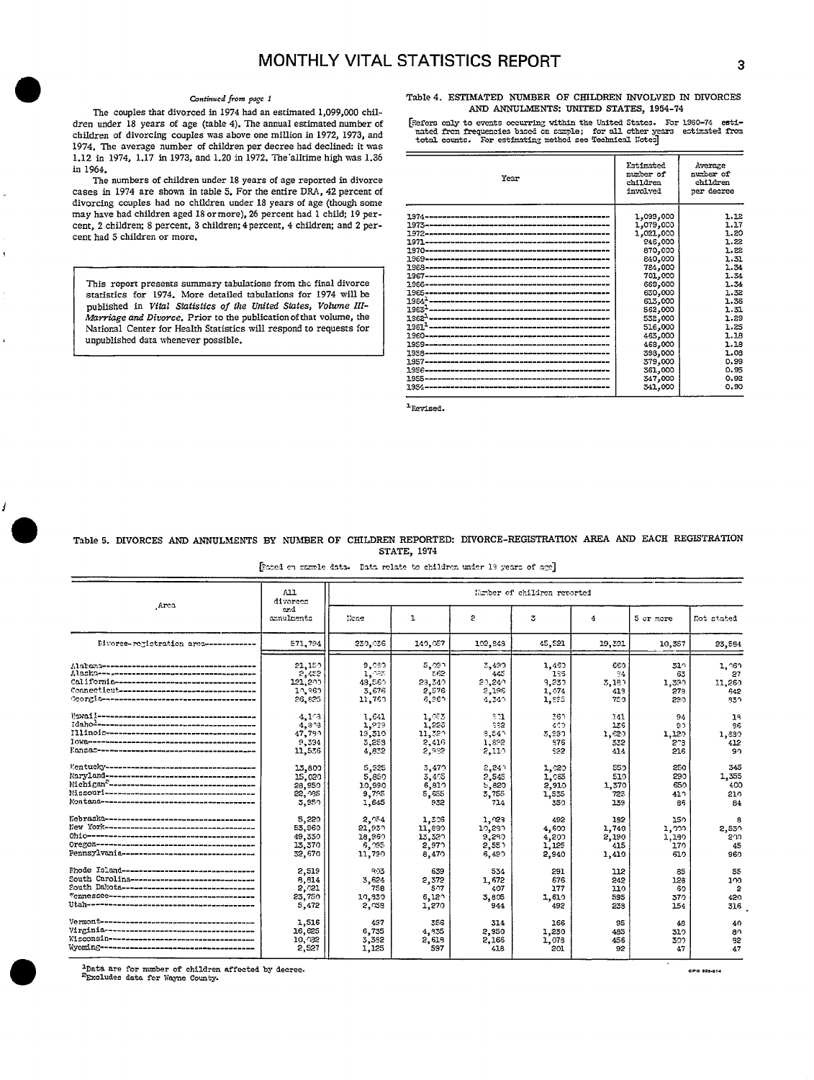The couples that divorced in 1974 had an estimated 1,099,000 chil-  $d$ ren under 18 years of age (table 4). The annual estimated number of children of divorcing couples was above one million in 1972, 1973, and the mated from frequencies based on sample; for all other years estimated from the information of the state of the state of the state of the state of t 1.12 in 1974, 1.17 in 1973, and 1.20 in 1972. The alltime high was 1.36 in 1964. in 1964. **Extinctive Contract of the Contract of Contract of the Contract of Contract of Contract of Contract of Contract of Contract of Contract of Contract of Contract of Contract of Contract of Contract of Contract of C** 

The numbers of children under 18 years of age reported in divorce cases in 1974 are shown in table 5. For the entire DRA, 42 percent of divorcing couples bad no children under 18 years of sge (though some may have had children aged 18 or more), 26 percent had 1 child; 19 percent, 2 children; 8 percent, 3 children; 4 percent, 4 children; and 2 percent had 5 children or more.

This report presents summary tabulations from the final divorce statistics for 1974. More detailed tabulations for 1974 will be published in *Vital Statistics of the United States*, Volume III-*Marriage and Divorce*. Prior to the publication of that volume, the National Center for Health Statistics will respond to requests for unpublished data whenever possible.

# Continued from page 1 **Table 4. ESTIMATED NUMBER OF CHILDREN INVOLVED IN DIVORCES**<br> **AND ANNULMENTS: UNITED STATES, 1954-74**<br> **AND ANNULMENTS: UNITED STATES, 1954-74**

dren under 18 years of age (table 4). The annual estimated number of [Fefers only to events occurring within the United States. For 1960-74 esti-

| Year | Estimated<br>number of<br>children<br>involved                                                                                                                                                                      | Average<br>number of<br>children<br>per decree                                                                                                       |
|------|---------------------------------------------------------------------------------------------------------------------------------------------------------------------------------------------------------------------|------------------------------------------------------------------------------------------------------------------------------------------------------|
|      | 1,099,000<br>1,079,000<br>1,021,000<br>946,000<br>870,000<br>840,000<br>784,000<br>701,000<br>669,000<br>630,000<br>613,000<br>562,000<br>532,000<br>516,000<br>463,000<br>468,000<br>398,000<br>379,000<br>361,000 | 1.12<br>1.17<br>1.20<br>1.22<br>1.22<br>1.31<br>1.34<br>1.54<br>1.34<br>1.32<br>1.36<br>1.31<br>1.29<br>1.25<br>1.18<br>1.18<br>1.03<br>0.99<br>0.95 |
|      | 347,000<br>341,000                                                                                                                                                                                                  | 0.92<br>0.90                                                                                                                                         |
|      |                                                                                                                                                                                                                     |                                                                                                                                                      |

<sup>1</sup>Revised.

Table 5. DIVORCES AND ANNULMENTS BY NUMBER OF CHILDREN REPORTED: DIVORCE-REGISTRATION AREA AND EACH REGISTRATION STATE, 1974

[Faced on sample data. Data relate to children under 19 years of age]

|                                               | A11<br>diverces   | Number of children reported |                |                |        |        |           |            |  |
|-----------------------------------------------|-------------------|-----------------------------|----------------|----------------|--------|--------|-----------|------------|--|
| Area                                          | end<br>annulments | None                        | ı              | s.             | 3      | 4      | 5 or more | Not stated |  |
| Divorce-registration area ------------        | 571,794           | 230,036                     | 149,057        | 102,843        | 45,521 | 19,391 | 10,357    | 23,584     |  |
|                                               | 21,150            | 9,080                       | 5,091          | 3,490          | 1,460  | 660    | 310       | 1.060      |  |
|                                               | 5,455             | 1,085                       | 562            | 445            | 135    | 94     | 63        | 27         |  |
| Colifornie----------------------------------- | 121,200           | 48,560                      | 23,349         | 20.240         | 9,230  | 5,180  | 1,390     | 11.260     |  |
| Connecticut --------------------------------- | 10,360            | 3.676                       | 2,576          | 2,196          | 1,074  | 419    | 279       | 642        |  |
|                                               | 26,825            | 11,760                      | 6,961          | 4,349          | 1,895  | 750    | 290       | 330        |  |
|                                               | 4.173             | 1.641                       | 1.055          | 201            | 361    | 141    | 94        | 19         |  |
|                                               | 4.893             | 1,923                       | 1,228          | 932            | 400    | 136    | 90        | 86         |  |
|                                               | 47.750            | 19,310                      | 11,320         | $9.54^{\circ}$ | 3,990  | 1,620  | 1,120     | 1,880      |  |
|                                               | 9,394             | 3,258                       | 2,416          | 1,892          | 976    | 532    | 203       | 412        |  |
|                                               | 11,536            | 4.832                       | 5.935          | 2,110          | 592    | 414    | 216       | 90         |  |
|                                               | 13,809            | 5,925                       | 3,470          | 2,247          | 1,020  | 550    | 250       | 345        |  |
|                                               | 15,020            | 5,850                       | 3,4%           | 2,545          | 1,065  | 510    | 290       | 1,355      |  |
|                                               | 28,950            | 10,990                      | 6,810          | 5,820          | 2,910  | 1,370  | 650       | 400        |  |
|                                               | 22, 955           | 9,795                       | 5,655          | 3,755          | 1,535  | 725    | 410       | 210        |  |
|                                               | 3,950             | 1,645                       | 932            | 714            | 350    | 139    | 86        | 84         |  |
|                                               | 5.220             | 2.954                       | 1,306          | 1, 28          | 492    | 152    | 150       | я          |  |
|                                               | 53,960            | 21.930                      | 11,830         | 10,280         | 4,600  | 1,740  | ⊥ູງງລ     | 2,530      |  |
|                                               | 49,330            | 18,960                      | 13,320         | 9,280          | 4,200  | 2,190  | 1,180     | 200        |  |
|                                               | 13,370            | 6,095                       | 2,970          | 2,551          | 1,125  | 415    | 170       | 45         |  |
| Pennsylvania--------------------------------- | 32,670            | 11,790                      | 8,470          | 6,490          | 2,940  | 1,410  | 610       | 960        |  |
| Fhode Island-------------------------------   | 2,519             | 903                         | 639            | 534            | 291    | 112    | 85        | 55         |  |
| South Carolina------------------------------  | 8,814             | 3.624                       | 2,372          | 1,672          | 676    | 242    | 128       | 100        |  |
| South Dakota--------------------------------  | 2,021             | 758                         | 507            | 407            | 177    | 110    | 60        | 2          |  |
|                                               | 23,750            | 10,830                      | $6,12^{\circ}$ | 3.805          | 1,610  | 595    | 370       | 420        |  |
|                                               | 5,472             | 2.058                       | 1,270          | 944            | 492    | 233    | 154       | 316        |  |
|                                               | 1,516             | 497                         | 356            | 314            | 166    | 95     | 48        | 40         |  |
|                                               | 16,625            | 6,735                       | 4,935          | 2,950          | 1,230  | 485    | 310       | an.        |  |
|                                               | 10, 32            | 3,382                       | 2,618          | 2,166          | 1,078  | 456    | 300       | 92         |  |
|                                               | 2,527             | 1,125                       | 597            | 418            | 201    | 92     | 47        | 47         |  |

**or all the area for number of children affected**<br>
<sup>2</sup>Excludes data for Wayne County. \*Data are for number of children affected by decree.<br><sup>2</sup>Excludes data for Wayne County.

i

 $\overline{1}$